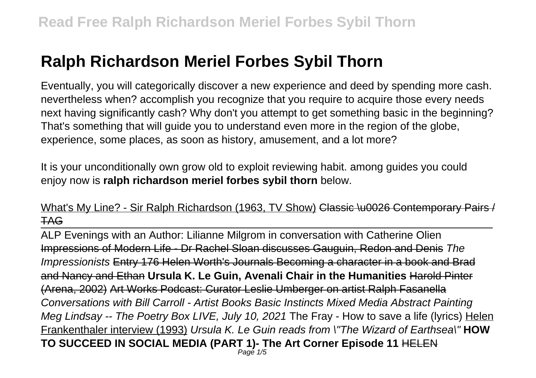# **Ralph Richardson Meriel Forbes Sybil Thorn**

Eventually, you will categorically discover a new experience and deed by spending more cash. nevertheless when? accomplish you recognize that you require to acquire those every needs next having significantly cash? Why don't you attempt to get something basic in the beginning? That's something that will guide you to understand even more in the region of the globe, experience, some places, as soon as history, amusement, and a lot more?

It is your unconditionally own grow old to exploit reviewing habit. among guides you could enjoy now is **ralph richardson meriel forbes sybil thorn** below.

### What's My Line? - Sir Ralph Richardson (1963, TV Show) Classic \u0026 Contemporary Pairs / TAG

ALP Evenings with an Author: Lilianne Milgrom in conversation with Catherine Olien Impressions of Modern Life - Dr Rachel Sloan discusses Gauguin, Redon and Denis The Impressionists Entry 176 Helen Worth's Journals Becoming a character in a book and Brad and Nancy and Ethan **Ursula K. Le Guin, Avenali Chair in the Humanities** Harold Pinter (Arena, 2002) Art Works Podcast: Curator Leslie Umberger on artist Ralph Fasanella Conversations with Bill Carroll - Artist Books Basic Instincts Mixed Media Abstract Painting Meg Lindsay -- The Poetry Box LIVE, July 10, 2021 The Fray - How to save a life (lyrics) Helen Frankenthaler interview (1993) Ursula K. Le Guin reads from \"The Wizard of Earthsea\" **HOW TO SUCCEED IN SOCIAL MEDIA (PART 1)- The Art Corner Episode 11** HELEN Page 1/5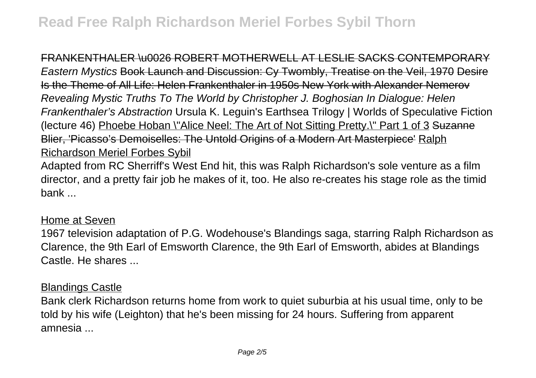FRANKENTHALER \u0026 ROBERT MOTHERWELL AT LESLIE SACKS CONTEMPORARY Eastern Mystics Book Launch and Discussion: Cy Twombly, Treatise on the Veil, 1970 Desire Is the Theme of All Life: Helen Frankenthaler in 1950s New York with Alexander Nemerov Revealing Mystic Truths To The World by Christopher J. Boghosian In Dialogue: Helen Frankenthaler's Abstraction Ursula K. Leguin's Earthsea Trilogy | Worlds of Speculative Fiction (lecture 46) Phoebe Hoban \"Alice Neel: The Art of Not Sitting Pretty.\" Part 1 of 3 Suzanne Blier, 'Picasso's Demoiselles: The Untold Origins of a Modern Art Masterpiece' Ralph Richardson Meriel Forbes Sybil

Adapted from RC Sherriff's West End hit, this was Ralph Richardson's sole venture as a film director, and a pretty fair job he makes of it, too. He also re-creates his stage role as the timid bank ...

#### Home at Seven

1967 television adaptation of P.G. Wodehouse's Blandings saga, starring Ralph Richardson as Clarence, the 9th Earl of Emsworth Clarence, the 9th Earl of Emsworth, abides at Blandings Castle. He shares ...

#### Blandings Castle

Bank clerk Richardson returns home from work to quiet suburbia at his usual time, only to be told by his wife (Leighton) that he's been missing for 24 hours. Suffering from apparent amnesia ...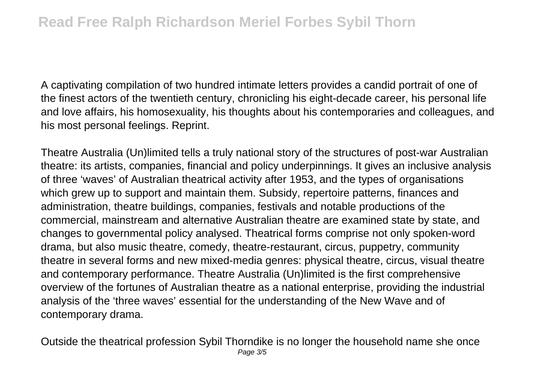A captivating compilation of two hundred intimate letters provides a candid portrait of one of the finest actors of the twentieth century, chronicling his eight-decade career, his personal life and love affairs, his homosexuality, his thoughts about his contemporaries and colleagues, and his most personal feelings. Reprint.

Theatre Australia (Un)limited tells a truly national story of the structures of post-war Australian theatre: its artists, companies, financial and policy underpinnings. It gives an inclusive analysis of three 'waves' of Australian theatrical activity after 1953, and the types of organisations which grew up to support and maintain them. Subsidy, repertoire patterns, finances and administration, theatre buildings, companies, festivals and notable productions of the commercial, mainstream and alternative Australian theatre are examined state by state, and changes to governmental policy analysed. Theatrical forms comprise not only spoken-word drama, but also music theatre, comedy, theatre-restaurant, circus, puppetry, community theatre in several forms and new mixed-media genres: physical theatre, circus, visual theatre and contemporary performance. Theatre Australia (Un)limited is the first comprehensive overview of the fortunes of Australian theatre as a national enterprise, providing the industrial analysis of the 'three waves' essential for the understanding of the New Wave and of contemporary drama.

Outside the theatrical profession Sybil Thorndike is no longer the household name she once Page 3/5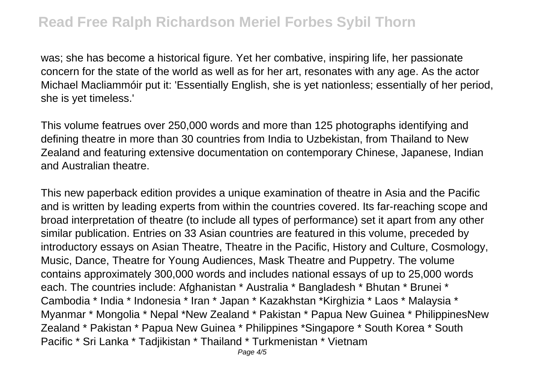was; she has become a historical figure. Yet her combative, inspiring life, her passionate concern for the state of the world as well as for her art, resonates with any age. As the actor Michael Macliammóir put it: 'Essentially English, she is yet nationless; essentially of her period, she is yet timeless.'

This volume featrues over 250,000 words and more than 125 photographs identifying and defining theatre in more than 30 countries from India to Uzbekistan, from Thailand to New Zealand and featuring extensive documentation on contemporary Chinese, Japanese, Indian and Australian theatre.

This new paperback edition provides a unique examination of theatre in Asia and the Pacific and is written by leading experts from within the countries covered. Its far-reaching scope and broad interpretation of theatre (to include all types of performance) set it apart from any other similar publication. Entries on 33 Asian countries are featured in this volume, preceded by introductory essays on Asian Theatre, Theatre in the Pacific, History and Culture, Cosmology, Music, Dance, Theatre for Young Audiences, Mask Theatre and Puppetry. The volume contains approximately 300,000 words and includes national essays of up to 25,000 words each. The countries include: Afghanistan \* Australia \* Bangladesh \* Bhutan \* Brunei \* Cambodia \* India \* Indonesia \* Iran \* Japan \* Kazakhstan \*Kirghizia \* Laos \* Malaysia \* Myanmar \* Mongolia \* Nepal \*New Zealand \* Pakistan \* Papua New Guinea \* PhilippinesNew Zealand \* Pakistan \* Papua New Guinea \* Philippines \*Singapore \* South Korea \* South Pacific \* Sri Lanka \* Tadjikistan \* Thailand \* Turkmenistan \* Vietnam